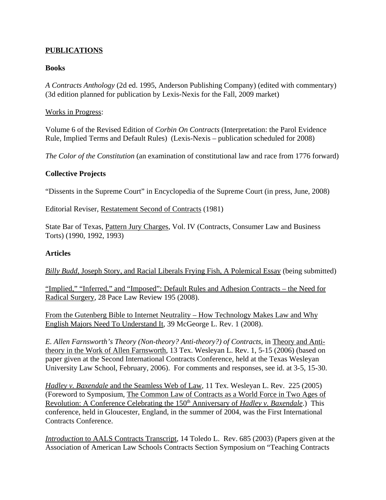# **PUBLICATIONS**

## **Books**

*A Contracts Anthology* (2d ed. 1995, Anderson Publishing Company) (edited with commentary) (3d edition planned for publication by Lexis-Nexis for the Fall, 2009 market)

### Works in Progress:

Volume 6 of the Revised Edition of *Corbin On Contracts* (Interpretation: the Parol Evidence Rule, Implied Terms and Default Rules) (Lexis-Nexis – publication scheduled for 2008)

*The Color of the Constitution* (an examination of constitutional law and race from 1776 forward)

### **Collective Projects**

"Dissents in the Supreme Court" in Encyclopedia of the Supreme Court (in press, June, 2008)

Editorial Reviser, Restatement Second of Contracts (1981)

State Bar of Texas, Pattern Jury Charges, Vol. IV (Contracts, Consumer Law and Business Torts) (1990, 1992, 1993)

#### **Articles**

*Billy Budd*, Joseph Story, and Racial Liberals Frying Fish, A Polemical Essay (being submitted)

"Implied," "Inferred," and "Imposed": Default Rules and Adhesion Contracts – the Need for Radical Surgery, 28 Pace Law Review 195 (2008).

From the Gutenberg Bible to Internet Neutrality – How Technology Makes Law and Why English Majors Need To Understand It, 39 McGeorge L. Rev. 1 (2008).

*E. Allen Farnsworth's Theory (Non-theory? Anti-theory?) of Contracts*, in Theory and Antitheory in the Work of Allen Farnsworth, 13 Tex. Wesleyan L. Rev. 1, 5-15 (2006) (based on paper given at the Second International Contracts Conference, held at the Texas Wesleyan University Law School, February, 2006). For comments and responses, see id. at 3-5, 15-30.

*Hadley v. Baxendale* and the Seamless Web of Law, 11 Tex. Wesleyan L. Rev. 225 (2005) (Foreword to Symposium, The Common Law of Contracts as a World Force in Two Ages of Revolution: A Conference Celebrating the 150<sup>th</sup> Anniversary of *Hadley v. Baxendale*.) This conference, held in Gloucester, England, in the summer of 2004, was the First International Contracts Conference.

*Introduction* to AALS Contracts Transcript, 14 Toledo L. Rev. 685 (2003) (Papers given at the Association of American Law Schools Contracts Section Symposium on "Teaching Contracts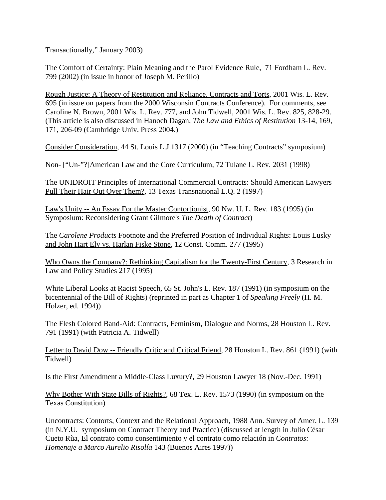Transactionally," January 2003)

The Comfort of Certainty: Plain Meaning and the Parol Evidence Rule, 71 Fordham L. Rev. 799 (2002) (in issue in honor of Joseph M. Perillo)

Rough Justice: A Theory of Restitution and Reliance, Contracts and Torts, 2001 Wis. L. Rev. 695 (in issue on papers from the 2000 Wisconsin Contracts Conference). For comments, see Caroline N. Brown, 2001 Wis. L. Rev. 777, and John Tidwell, 2001 Wis. L. Rev. 825, 828-29. (This article is also discussed in Hanoch Dagan, *The Law and Ethics of Restitution* 13-14, 169, 171, 206-09 (Cambridge Univ. Press 2004.)

Consider Consideration, 44 St. Louis L.J.1317 (2000) (in "Teaching Contracts" symposium)

Non- ["Un-"?]American Law and the Core Curriculum, 72 Tulane L. Rev. 2031 (1998)

The UNIDROIT Principles of International Commercial Contracts: Should American Lawyers Pull Their Hair Out Over Them?, 13 Texas Transnational L.Q. 2 (1997)

Law's Unity -- An Essay For the Master Contortionist, 90 Nw. U. L. Rev. 183 (1995) (in Symposium: Reconsidering Grant Gilmore's *The Death of Contract*)

The *Carolene Products* Footnote and the Preferred Position of Individual Rights: Louis Lusky and John Hart Ely vs. Harlan Fiske Stone, 12 Const. Comm. 277 (1995)

Who Owns the Company?: Rethinking Capitalism for the Twenty-First Century, 3 Research in Law and Policy Studies 217 (1995)

White Liberal Looks at Racist Speech, 65 St. John's L. Rev. 187 (1991) (in symposium on the bicentennial of the Bill of Rights) (reprinted in part as Chapter 1 of *Speaking Freely* (H. M. Holzer, ed. 1994))

The Flesh Colored Band-Aid: Contracts, Feminism, Dialogue and Norms, 28 Houston L. Rev. 791 (1991) (with Patricia A. Tidwell)

Letter to David Dow -- Friendly Critic and Critical Friend, 28 Houston L. Rev. 861 (1991) (with Tidwell)

Is the First Amendment a Middle-Class Luxury?, 29 Houston Lawyer 18 (Nov.-Dec. 1991)

Why Bother With State Bills of Rights?, 68 Tex. L. Rev. 1573 (1990) (in symposium on the Texas Constitution)

Uncontracts: Contorts, Context and the Relational Approach, 1988 Ann. Survey of Amer. L. 139 (in N.Y.U. symposium on Contract Theory and Practice) (discussed at length in Julio César Cueto Rùa, El contrato como consentimiento y el contrato como relación in *Contratos: Homenaje a Marco Aurelio Risolía* 143 (Buenos Aires 1997))